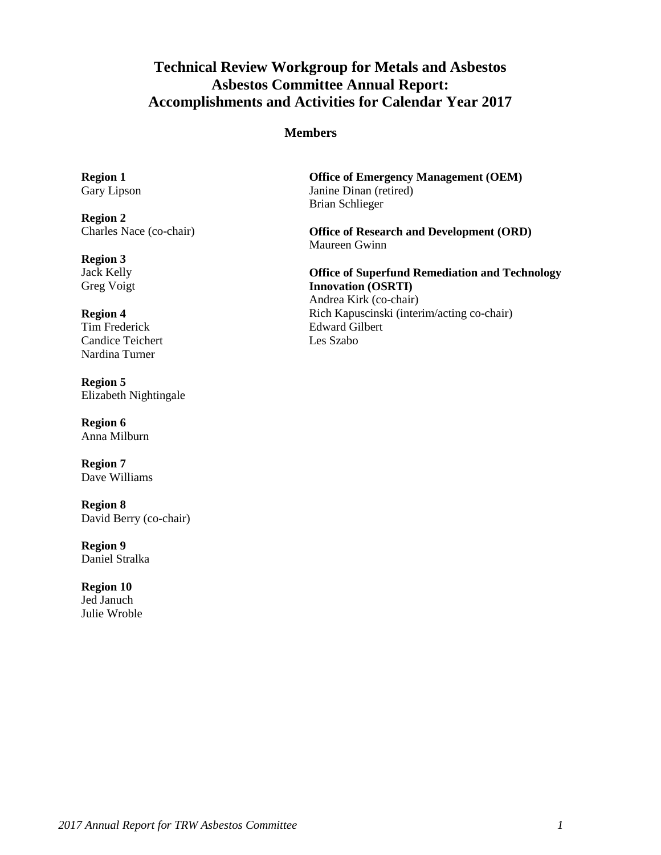# **Technical Review Workgroup for Metals and Asbestos Asbestos Committee Annual Report: Accomplishments and Activities for Calendar Year 2017**

#### **Members**

**Region 1**  Gary Lipson

**Region 2**  Charles Nace (co-chair)

**Region 3**  Jack Kelly Greg Voigt

#### **Region 4**

Tim Frederick Candice Teichert Nardina Turner

**Region 5**  Elizabeth Nightingale

**Region 6**  Anna Milburn

**Region 7**  Dave Williams

 David Berry (co-chair) **Region 8** 

**Region 9**  Daniel Stralka

 **Region 10**  Jed Januch Julie Wroble

 Janine Dinan (retired) **Office of Emergency Management (OEM)**  Brian Schlieger

 **Office of Research and Development (ORD)**  Maureen Gwinn

 **Innovation (OSRTI)**  Rich Kapuscinski (interim/acting co-chair) **Office of Superfund Remediation and Technology**  Andrea Kirk (co-chair) Edward Gilbert Les Szabo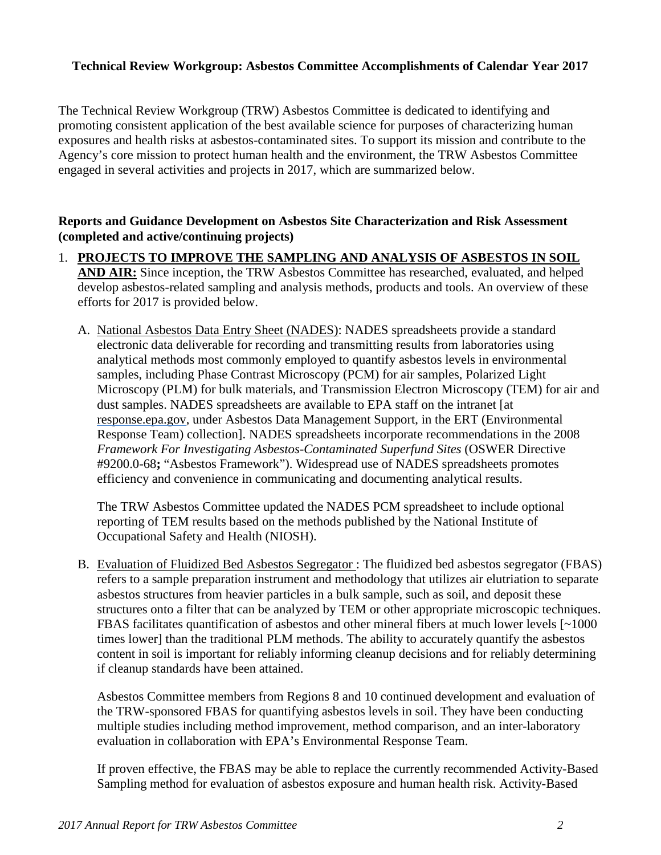# **Technical Review Workgroup: Asbestos Committee Accomplishments of Calendar Year 2017**

 exposures and health risks at asbestos-contaminated sites. To support its mission and contribute to the The Technical Review Workgroup (TRW) Asbestos Committee is dedicated to identifying and promoting consistent application of the best available science for purposes of characterizing human Agency's core mission to protect human health and the environment, the TRW Asbestos Committee engaged in several activities and projects in 2017, which are summarized below.

#### **(completed and active/continuing projects) Reports and Guidance Development on Asbestos Site Characterization and Risk Assessment**

- **AND AIR:** Since inception, the TRW Asbestos Committee has researched, evaluated, and helped 1. **PROJECTS TO IMPROVE THE SAMPLING AND ANALYSIS OF ASBESTOS IN SOIL**  develop asbestos-related sampling and analysis methods, products and tools. An overview of these efforts for 2017 is provided below.
	- analytical methods most commonly employed to quantify asbestos levels in environmental A. National Asbestos Data Entry Sheet (NADES): NADES spreadsheets provide a standard electronic data deliverable for recording and transmitting results from laboratories using samples, including Phase Contrast Microscopy (PCM) for air samples, Polarized Light Microscopy (PLM) for bulk materials, and Transmission Electron Microscopy (TEM) for air and dust samples. NADES spreadsheets are available to EPA staff on the intranet [at response.epa.gov, under Asbestos Data Management Support, in the ERT (Environmental Response Team) collection]. NADES spreadsheets incorporate recommendations in the 2008 *Framework For Investigating Asbestos-Contaminated Superfund Sites* (OSWER Directive #9200.0-68**;** "Asbestos Framework"). Widespread use of NADES spreadsheets promotes efficiency and convenience in communicating and documenting analytical results.

 reporting of TEM results based on the methods published by the National Institute of The TRW Asbestos Committee updated the NADES PCM spreadsheet to include optional Occupational Safety and Health (NIOSH).

 FBAS facilitates quantification of asbestos and other mineral fibers at much lower levels [~1000 B. Evaluation of Fluidized Bed Asbestos Segregator : The fluidized bed asbestos segregator (FBAS) refers to a sample preparation instrument and methodology that utilizes air elutriation to separate asbestos structures from heavier particles in a bulk sample, such as soil, and deposit these structures onto a filter that can be analyzed by TEM or other appropriate microscopic techniques. times lower] than the traditional PLM methods. The ability to accurately quantify the asbestos content in soil is important for reliably informing cleanup decisions and for reliably determining if cleanup standards have been attained.

 Asbestos Committee members from Regions 8 and 10 continued development and evaluation of the TRW-sponsored FBAS for quantifying asbestos levels in soil. They have been conducting evaluation in collaboration with EPA's Environmental Response Team. multiple studies including method improvement, method comparison, and an inter-laboratory

evaluation in collaboration with EPA's Environmental Response Team.<br>If proven effective, the FBAS may be able to replace the currently recommended Activity-Based Sampling method for evaluation of asbestos exposure and human health risk. Activity-Based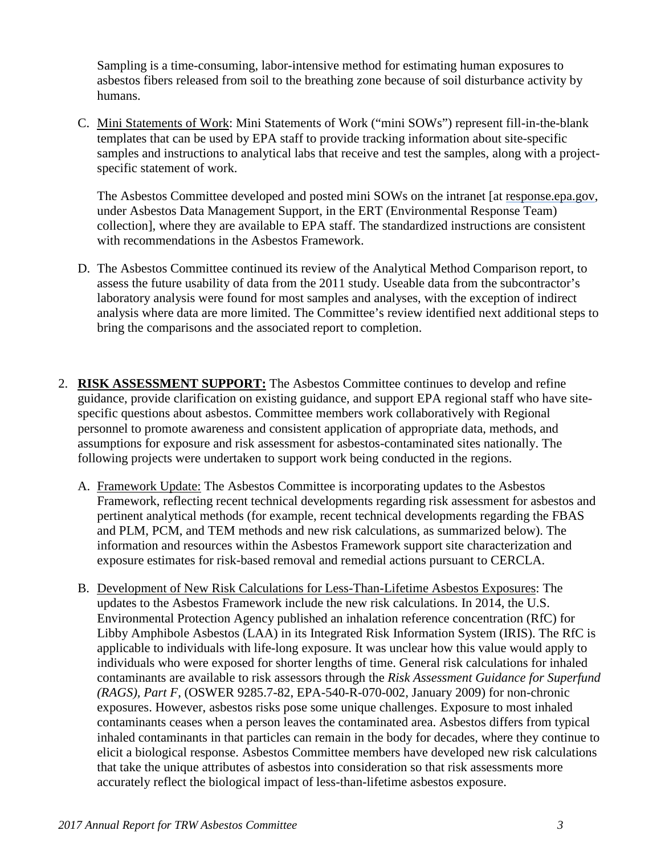asbestos fibers released from soil to the breathing zone because of soil disturbance activity by Sampling is a time-consuming, labor-intensive method for estimating human exposures to humans.

C. Mini Statements of Work: Mini Statements of Work ("mini SOWs") represent fill-in-the-blank templates that can be used by EPA staff to provide tracking information about site-specific samples and instructions to analytical labs that receive and test the samples, along with a projectspecific statement of work.

 collection], where they are available to EPA staff. The standardized instructions are consistent The Asbestos Committee developed and posted mini SOWs on the intranet [at response.epa.gov, under Asbestos Data Management Support, in the ERT (Environmental Response Team) with recommendations in the Asbestos Framework.

- assess the future usability of data from the 2011 study. Useable data from the subcontractor's analysis where data are more limited. The Committee's review identified next additional steps to bring the comparisons and the associated report to completion. D. The Asbestos Committee continued its review of the Analytical Method Comparison report, to laboratory analysis were found for most samples and analyses, with the exception of indirect
- 2. **RISK ASSESSMENT SUPPORT:** The Asbestos Committee continues to develop and refine guidance, provide clarification on existing guidance, and support EPA regional staff who have site- specific questions about asbestos. Committee members work collaboratively with Regional personnel to promote awareness and consistent application of appropriate data, methods, and assumptions for exposure and risk assessment for asbestos-contaminated sites nationally. The following projects were undertaken to support work being conducted in the regions.
	- and PLM, PCM, and TEM methods and new risk calculations, as summarized below). The A. Framework Update: The Asbestos Committee is incorporating updates to the Asbestos Framework, reflecting recent technical developments regarding risk assessment for asbestos and pertinent analytical methods (for example, recent technical developments regarding the FBAS information and resources within the Asbestos Framework support site characterization and exposure estimates for risk-based removal and remedial actions pursuant to CERCLA.
	- individuals who were exposed for shorter lengths of time. General risk calculations for inhaled *(RAGS), Part F*, (OSWER 9285.7-82, EPA-540-R-070-002, January 2009) for non-chronic contaminants ceases when a person leaves the contaminated area. Asbestos differs from typical accurately reflect the biological impact of less-than-lifetime asbestos exposure. B. Development of New Risk Calculations for Less-Than-Lifetime Asbestos Exposures: The updates to the Asbestos Framework include the new risk calculations. In 2014, the U.S. Environmental Protection Agency published an inhalation reference concentration (RfC) for Libby Amphibole Asbestos (LAA) in its Integrated Risk Information System (IRIS). The RfC is applicable to individuals with life-long exposure. It was unclear how this value would apply to contaminants are available to risk assessors through the *Risk Assessment Guidance for Superfund*  exposures. However, asbestos risks pose some unique challenges. Exposure to most inhaled inhaled contaminants in that particles can remain in the body for decades, where they continue to elicit a biological response. Asbestos Committee members have developed new risk calculations that take the unique attributes of asbestos into consideration so that risk assessments more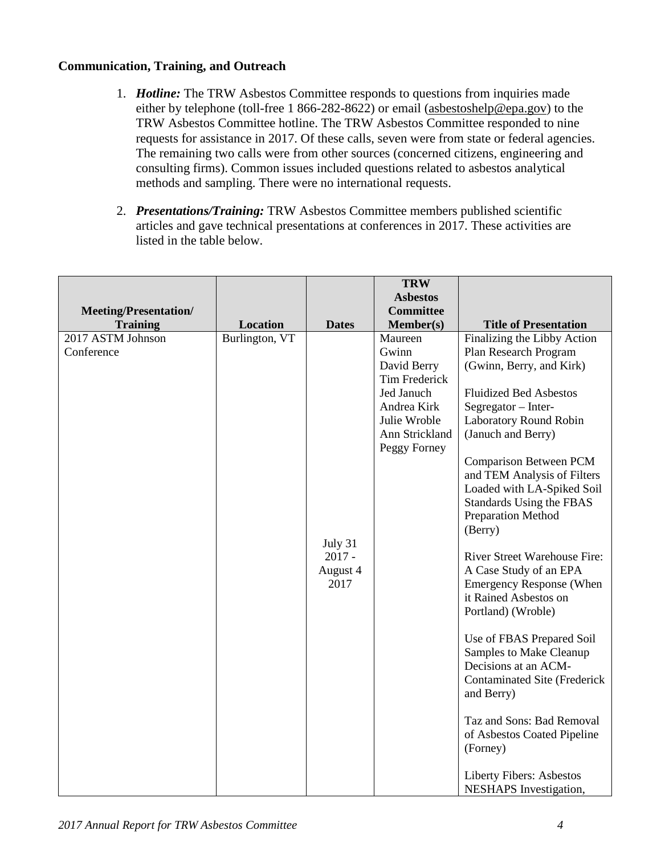# **Communication, Training, and Outreach**

- The remaining two calls were from other sources (concerned citizens, engineering and methods and sampling. There were no international requests. 1. *Hotline:* The TRW Asbestos Committee responds to questions from inquiries made either by telephone (toll-free 1 866-282-8622) or email [\(asbestoshelp@epa.gov\)](mailto:asbestoshelp@epa.gov) to the TRW Asbestos Committee hotline. The TRW Asbestos Committee responded to nine requests for assistance in 2017. Of these calls, seven were from state or federal agencies. consulting firms). Common issues included questions related to asbestos analytical
- articles and gave technical presentations at conferences in 2017. These activities are 2. *Presentations/Training:* TRW Asbestos Committee members published scientific listed in the table below.

|                                                 |                 |              | <b>TRW</b>                          |                                                              |
|-------------------------------------------------|-----------------|--------------|-------------------------------------|--------------------------------------------------------------|
|                                                 |                 |              | <b>Asbestos</b><br><b>Committee</b> |                                                              |
| <b>Meeting/Presentation/</b><br><b>Training</b> | <b>Location</b> | <b>Dates</b> | $Member(s)$                         | <b>Title of Presentation</b>                                 |
| 2017 ASTM Johnson                               | Burlington, VT  |              | Maureen                             | Finalizing the Libby Action                                  |
| Conference                                      |                 |              | Gwinn                               | Plan Research Program                                        |
|                                                 |                 |              | David Berry                         | (Gwinn, Berry, and Kirk)                                     |
|                                                 |                 |              | <b>Tim Frederick</b>                |                                                              |
|                                                 |                 |              | Jed Januch                          | <b>Fluidized Bed Asbestos</b>                                |
|                                                 |                 |              | Andrea Kirk                         | Segregator - Inter-                                          |
|                                                 |                 |              | Julie Wroble                        | Laboratory Round Robin                                       |
|                                                 |                 |              | Ann Strickland                      | (Januch and Berry)                                           |
|                                                 |                 |              | Peggy Forney                        |                                                              |
|                                                 |                 |              |                                     | <b>Comparison Between PCM</b><br>and TEM Analysis of Filters |
|                                                 |                 |              |                                     | Loaded with LA-Spiked Soil                                   |
|                                                 |                 |              |                                     | Standards Using the FBAS                                     |
|                                                 |                 |              |                                     | Preparation Method                                           |
|                                                 |                 |              |                                     | (Berry)                                                      |
|                                                 |                 | July 31      |                                     |                                                              |
|                                                 |                 | $2017 -$     |                                     | River Street Warehouse Fire:                                 |
|                                                 |                 | August 4     |                                     | A Case Study of an EPA                                       |
|                                                 |                 | 2017         |                                     | <b>Emergency Response (When</b>                              |
|                                                 |                 |              |                                     | it Rained Asbestos on                                        |
|                                                 |                 |              |                                     | Portland) (Wroble)                                           |
|                                                 |                 |              |                                     | Use of FBAS Prepared Soil                                    |
|                                                 |                 |              |                                     | Samples to Make Cleanup                                      |
|                                                 |                 |              |                                     | Decisions at an ACM-                                         |
|                                                 |                 |              |                                     | <b>Contaminated Site (Frederick</b>                          |
|                                                 |                 |              |                                     | and Berry)                                                   |
|                                                 |                 |              |                                     |                                                              |
|                                                 |                 |              |                                     | Taz and Sons: Bad Removal<br>of Asbestos Coated Pipeline     |
|                                                 |                 |              |                                     | (Forney)                                                     |
|                                                 |                 |              |                                     |                                                              |
|                                                 |                 |              |                                     | Liberty Fibers: Asbestos                                     |
|                                                 |                 |              |                                     | <b>NESHAPS</b> Investigation,                                |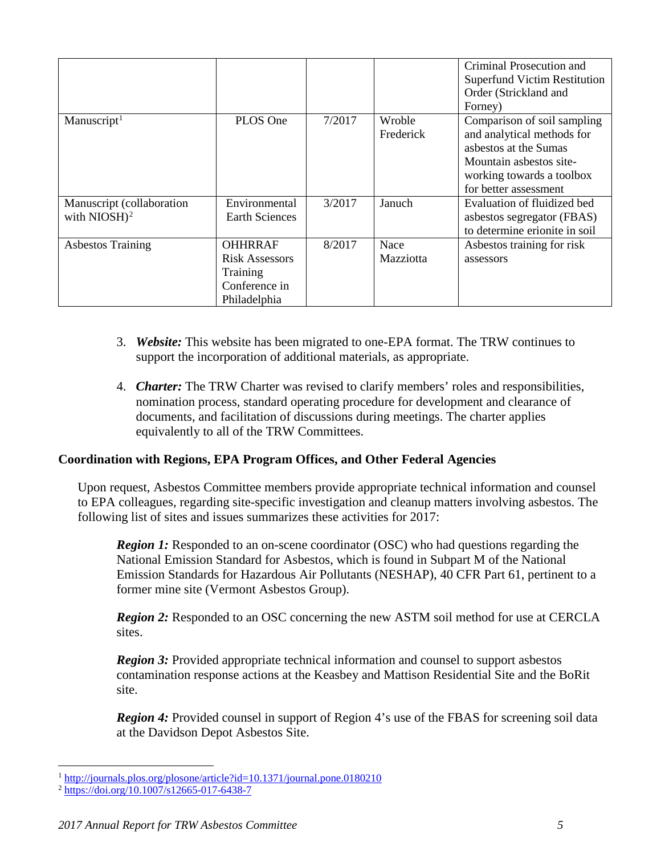|                                              |                                                                                      |        |                          | Criminal Prosecution and<br><b>Superfund Victim Restitution</b><br>Order (Strickland and<br>Forney)                                                                 |
|----------------------------------------------|--------------------------------------------------------------------------------------|--------|--------------------------|---------------------------------------------------------------------------------------------------------------------------------------------------------------------|
| Manuscript <sup>1</sup>                      | PLOS One                                                                             | 7/2017 | Wroble<br>Frederick      | Comparison of soil sampling<br>and analytical methods for<br>asbestos at the Sumas<br>Mountain asbestos site-<br>working towards a toolbox<br>for better assessment |
| Manuscript (collaboration<br>with $NIOSH)^2$ | Environmental<br><b>Earth Sciences</b>                                               | 3/2017 | Januch                   | Evaluation of fluidized bed<br>asbestos segregator (FBAS)<br>to determine erionite in soil                                                                          |
| <b>Asbestos Training</b>                     | <b>OHHRRAF</b><br><b>Risk Assessors</b><br>Training<br>Conference in<br>Philadelphia | 8/2017 | Nace<br><b>Mazziotta</b> | Asbestos training for risk<br>assessors                                                                                                                             |

- support the incorporation of additional materials, as appropriate. 3. *Website:* This website has been migrated to one-EPA format. The TRW continues to
- documents, and facilitation of discussions during meetings. The charter applies equivalently to all of the TRW Committees. 4. *Charter:* The TRW Charter was revised to clarify members' roles and responsibilities, nomination process, standard operating procedure for development and clearance of

## **Coordination with Regions, EPA Program Offices, and Other Federal Agencies**

Upon request, Asbestos Committee members provide appropriate technical information and counsel to EPA colleagues, regarding site-specific investigation and cleanup matters involving asbestos. The following list of sites and issues summarizes these activities for 2017:

*Region 1:* Responded to an on-scene coordinator (OSC) who had questions regarding the National Emission Standard for Asbestos, which is found in Subpart M of the National Emission Standards for Hazardous Air Pollutants (NESHAP), 40 CFR Part 61, pertinent to a former mine site (Vermont Asbestos Group).

*Region 2:* Responded to an OSC concerning the new ASTM soil method for use at CERCLA sites.

 contamination response actions at the Keasbey and Mattison Residential Site and the BoRit *Region 3:* Provided appropriate technical information and counsel to support asbestos site.

 *Region 4:* Provided counsel in support of Region 4's use of the FBAS for screening soil data at the Davidson Depot Asbestos Site.

<sup>&</sup>lt;u>.</u> 1<http://journals.plos.org/plosone/article?id=10.1371/journal.pone.0180210>

<span id="page-4-1"></span><span id="page-4-0"></span><sup>2</sup><https://doi.org/10.1007/s12665-017-6438-7>